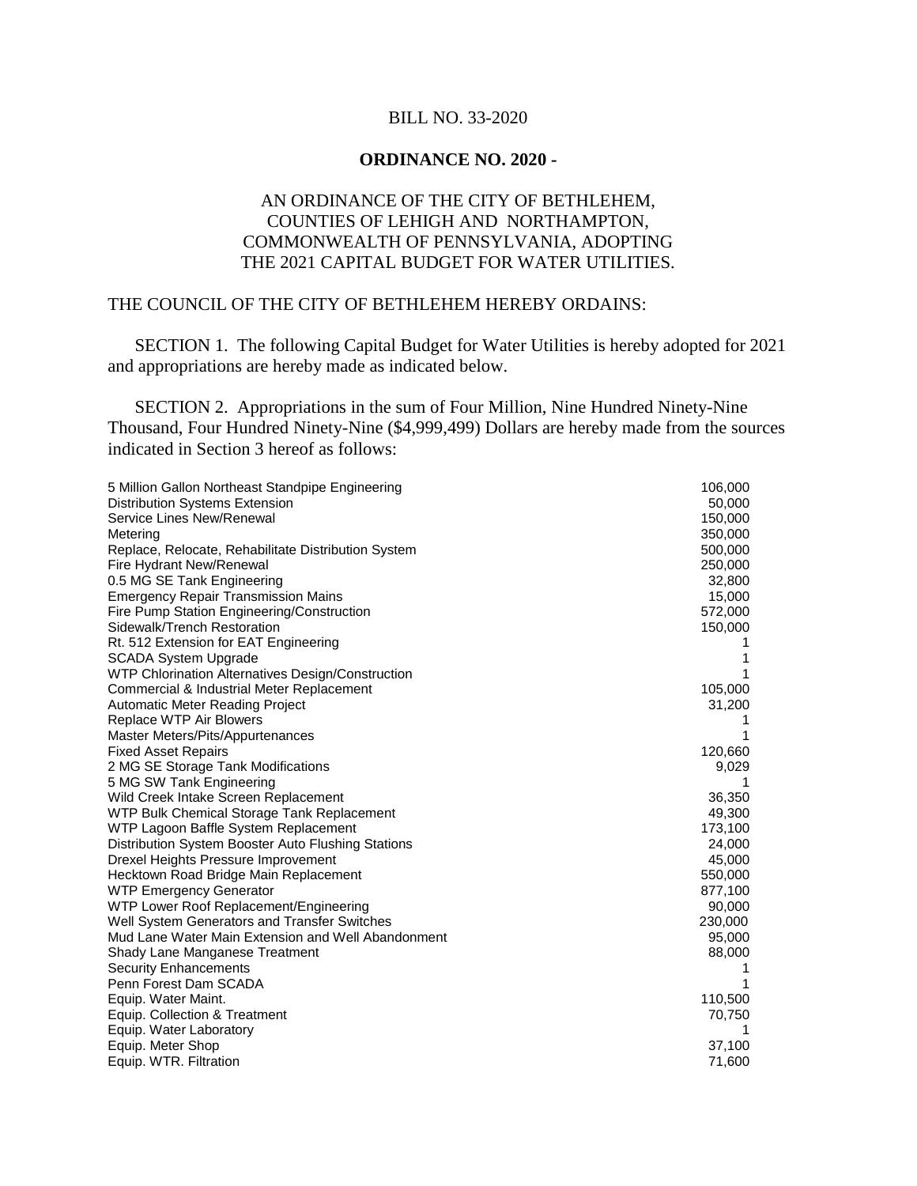## BILL NO. 33-2020

## **ORDINANCE NO. 2020 -**

## AN ORDINANCE OF THE CITY OF BETHLEHEM, COUNTIES OF LEHIGH AND NORTHAMPTON, COMMONWEALTH OF PENNSYLVANIA, ADOPTING THE 2021 CAPITAL BUDGET FOR WATER UTILITIES.

## THE COUNCIL OF THE CITY OF BETHLEHEM HEREBY ORDAINS:

SECTION 1. The following Capital Budget for Water Utilities is hereby adopted for 2021 and appropriations are hereby made as indicated below.

SECTION 2. Appropriations in the sum of Four Million, Nine Hundred Ninety-Nine Thousand, Four Hundred Ninety-Nine (\$4,999,499) Dollars are hereby made from the sources indicated in Section 3 hereof as follows:

| 5 Million Gallon Northeast Standpipe Engineering    | 106,000 |
|-----------------------------------------------------|---------|
| <b>Distribution Systems Extension</b>               | 50,000  |
| Service Lines New/Renewal                           | 150,000 |
| Metering                                            | 350,000 |
| Replace, Relocate, Rehabilitate Distribution System | 500,000 |
| Fire Hydrant New/Renewal                            | 250,000 |
| 0.5 MG SE Tank Engineering                          | 32,800  |
| <b>Emergency Repair Transmission Mains</b>          | 15,000  |
| Fire Pump Station Engineering/Construction          | 572,000 |
| Sidewalk/Trench Restoration                         | 150,000 |
| Rt. 512 Extension for EAT Engineering               | 1       |
| <b>SCADA System Upgrade</b>                         | 1       |
| WTP Chlorination Alternatives Design/Construction   | 1       |
| Commercial & Industrial Meter Replacement           | 105,000 |
| Automatic Meter Reading Project                     | 31,200  |
| Replace WTP Air Blowers                             | 1       |
| Master Meters/Pits/Appurtenances                    | 1       |
| <b>Fixed Asset Repairs</b>                          | 120,660 |
| 2 MG SE Storage Tank Modifications                  | 9,029   |
| 5 MG SW Tank Engineering                            | 1       |
| Wild Creek Intake Screen Replacement                | 36,350  |
| WTP Bulk Chemical Storage Tank Replacement          | 49,300  |
| WTP Lagoon Baffle System Replacement                | 173,100 |
| Distribution System Booster Auto Flushing Stations  | 24,000  |
| Drexel Heights Pressure Improvement                 | 45,000  |
| Hecktown Road Bridge Main Replacement               | 550,000 |
| <b>WTP Emergency Generator</b>                      | 877,100 |
| WTP Lower Roof Replacement/Engineering              | 90,000  |
| Well System Generators and Transfer Switches        | 230,000 |
| Mud Lane Water Main Extension and Well Abandonment  | 95,000  |
| Shady Lane Manganese Treatment                      | 88,000  |
| <b>Security Enhancements</b>                        | 1       |
| Penn Forest Dam SCADA                               | 1       |
| Equip. Water Maint.                                 | 110,500 |
| Equip. Collection & Treatment                       | 70,750  |
| Equip. Water Laboratory                             | 1       |
| Equip. Meter Shop                                   | 37,100  |
| Equip. WTR. Filtration                              | 71,600  |
|                                                     |         |